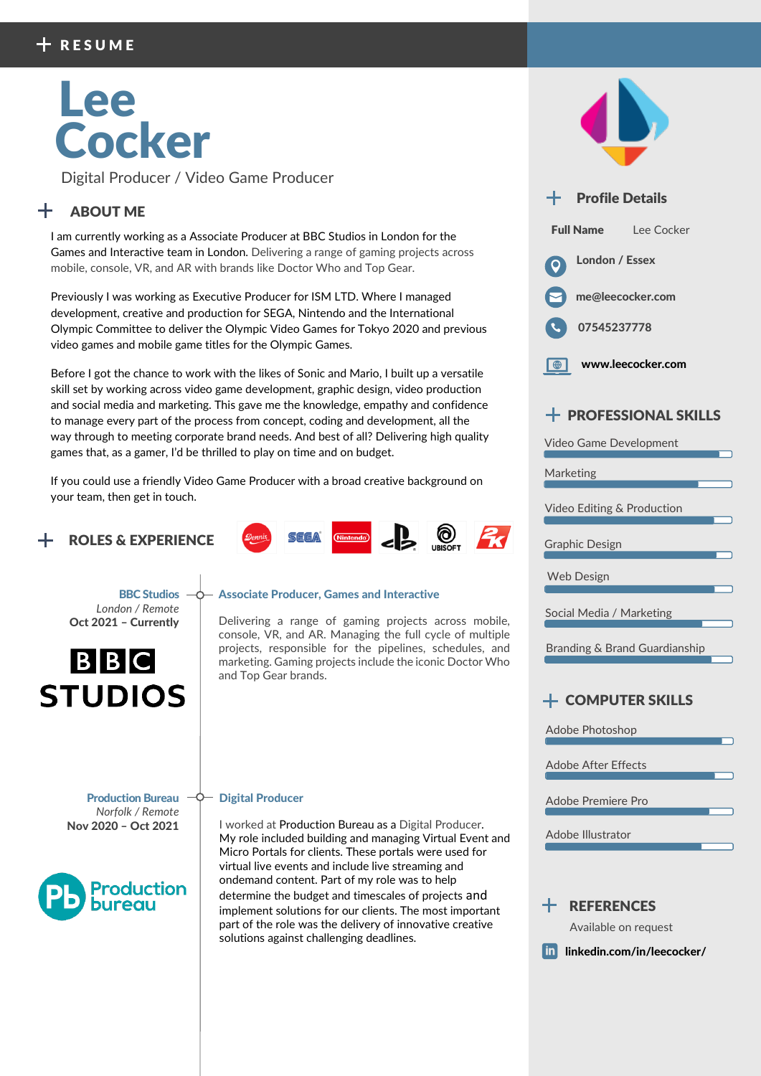# Lee Cocker

Digital Producer / Video Game Producer

## ABOUT ME

I am currently working as a Associate Producer at BBC Studios in London for the Games and Interactive team in London. Delivering a range of gaming projects across mobile, console, VR, and AR with brands like Doctor Who and Top Gear.

Previously I was working as Executive Producer for ISM LTD. Where I managed development, creative and production for SEGA, Nintendo and the International Olympic Committee to deliver the Olympic Video Games for Tokyo 2020 and previous video games and mobile game titles for the Olympic Games.

Before I got the chance to work with the likes of Sonic and Mario, I built up a versatile skill set by working across video game development, graphic design, video production and social media and marketing. This gave me the knowledge, empathy and confidence to manage every part of the process from concept, coding and development, all the way through to meeting corporate brand needs. And best of all? Delivering high quality games that, as a gamer, I'd be thrilled to play on time and on budget.

If you could use a friendly Video Game Producer with a broad creative background on your team, then get in touch.

## ROLES & EXPERIENCE









## $+$  PROFESSIONAL SKILLS

Video Game Development

#### Marketing

Video Editing & Production

Graphic Design

Social Media / Marketing

Branding & Brand Guardianship

## COMPUTER SKILLS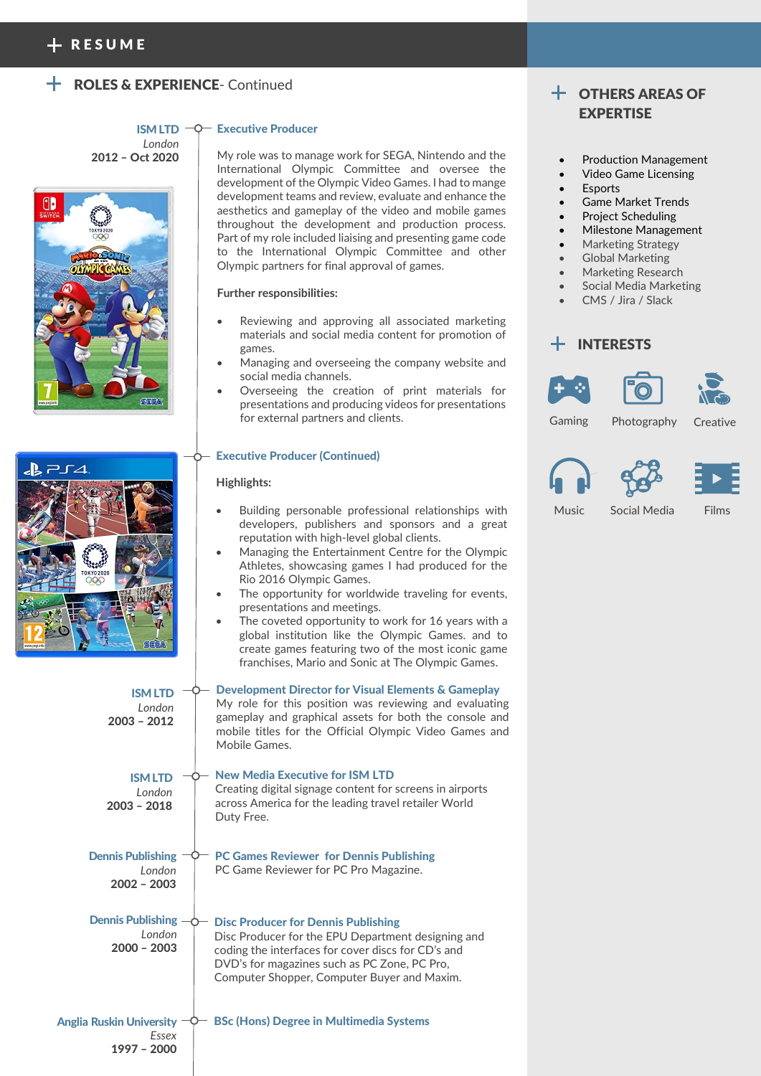## ROLES & EXPERIENCE- Continued

ISM LTD -*London* 2012 – Oct 2020



| $J$ $\approx$ $\approx$ $\approx$ $\approx$ |                   |
|---------------------------------------------|-------------------|
|                                             |                   |
|                                             |                   |
|                                             | тUК               |
|                                             |                   |
|                                             | <b>TOKYO 2020</b> |
|                                             |                   |
|                                             |                   |
| www.pegi.info                               | SEGA              |

ISM LTD *London* 2003 – 2012

#### - Executive Producer

My role was to manage work for SEGA, Nintendo and the International Olympic Committee and oversee the development of the Olympic Video Games. I had to mange development teams and review, evaluate and enhance the aesthetics and gameplay of the video and mobile games throughout the development and production process. Part of my role included liaising and presenting game code to the International Olympic Committee and other Olympic partners for final approval of games.

#### **Further responsibilities:**

- Reviewing and approving all associated marketing materials and social media content for promotion of games.
- Managing and overseeing the company website and social media channels.
- Overseeing the creation of print materials for presentations and producing videos for presentations for external partners and clients.

#### Executive Producer (Continued)

#### **Highlights:**

- Building personable professional relationships with developers, publishers and sponsors and a great reputation with high-level global clients.
- Managing the Entertainment Centre for the Olympic Athletes, showcasing games I had produced for the Rio 2016 Olympic Games.
- The opportunity for worldwide traveling for events, presentations and meetings.
- The coveted opportunity to work for 16 years with a global institution like the Olympic Games. and to create games featuring two of the most iconic game franchises, Mario and Sonic at The Olympic Games.

Development Director for Visual Elements & Gameplay My role for this position was reviewing and evaluating gameplay and graphical assets for both the console and mobile titles for the Official Olympic Video Games and Mobile Games.



## OTHERS AREAS OF EXPERTISE

- Production Management
- Video Game Licensing
- **Esports**
- Game Market Trends
- Project Scheduling
- Milestone Management
- Marketing Strategy
- Global Marketing
- Marketing Research
- Social Media Marketing
- CMS / Jira / Slack

### INTERESTS





Gaming Photography

**Creative** 





Music Social Media Films